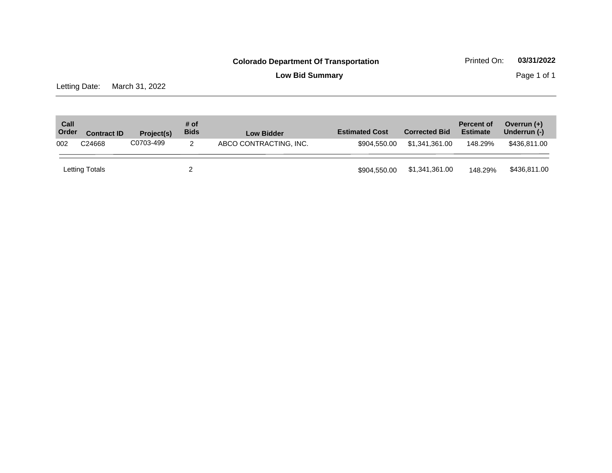**Low Bid Summary Page 1 of 1** 

Letting Date: March 31, 2022

| Call<br>Order | <b>Contract ID</b> | Project(s) | # of<br><b>Bids</b> | <b>Low Bidder</b>      | <b>Estimated Cost</b> | <b>Corrected Bid</b> | <b>Percent of</b><br><b>Estimate</b> | Overrun $(+)$<br>Underrun (-) |
|---------------|--------------------|------------|---------------------|------------------------|-----------------------|----------------------|--------------------------------------|-------------------------------|
| 002           | C24668             | C0703-499  | 2                   | ABCO CONTRACTING, INC. | \$904,550,00          | \$1.341.361.00       | 148.29%                              | \$436,811.00                  |
|               | Letting Totals     |            |                     |                        | \$904.550.00          | \$1,341,361.00       | 148.29%                              | \$436,811.00                  |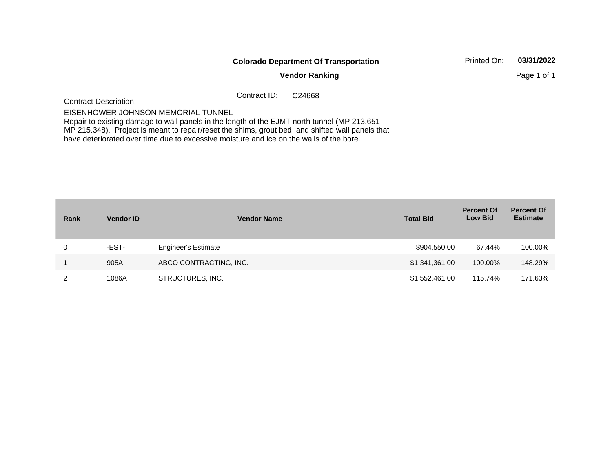|                                                                                                                                     | <b>Colorado Department Of Transportation</b> | Printed On:        | 03/31/2022<br>Page 1 of 1 |  |
|-------------------------------------------------------------------------------------------------------------------------------------|----------------------------------------------|--------------------|---------------------------|--|
|                                                                                                                                     | <b>Vendor Ranking</b>                        |                    |                           |  |
| <b>Contract Description:</b>                                                                                                        | Contract ID:                                 | C <sub>24668</sub> |                           |  |
| EISENHOWER JOHNSON MEMORIAL TUNNEL-<br>Repair to existing damage to wall panels in the length of the EJMT north tunnel (MP 213.651- |                                              |                    |                           |  |

MP 215.348). Project is meant to repair/reset the shims, grout bed, and shifted wall panels that have deteriorated over time due to excessive moisture and ice on the walls of the bore.

| Rank | <b>Vendor ID</b> | <b>Vendor Name</b>         | <b>Total Bid</b> | <b>Percent Of</b><br><b>Low Bid</b> | <b>Percent Of</b><br><b>Estimate</b> |
|------|------------------|----------------------------|------------------|-------------------------------------|--------------------------------------|
| 0    | -EST-            | <b>Engineer's Estimate</b> | \$904,550.00     | 67.44%                              | 100.00%                              |
|      | 905A             | ABCO CONTRACTING, INC.     | \$1,341,361.00   | 100.00%                             | 148.29%                              |
| 2    | 1086A            | STRUCTURES, INC.           | \$1,552,461.00   | 115.74%                             | 171.63%                              |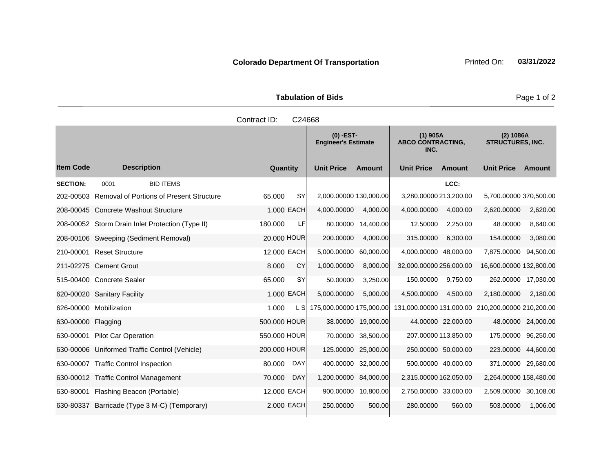| <b>Tabulation of Bids</b> |  |  |  |  |  |  |
|---------------------------|--|--|--|--|--|--|
| Contract ID: C24668       |  |  |  |  |  |  |

|                    |                                                  |              | $(0)$ -EST-<br><b>Engineer's Estimate</b> |                          | $(1)$ 905A<br><b>ABCO CONTRACTING,</b><br>INC. |                          | $(2)$ 1086A<br><b>STRUCTURES, INC.</b> |                          |                    |
|--------------------|--------------------------------------------------|--------------|-------------------------------------------|--------------------------|------------------------------------------------|--------------------------|----------------------------------------|--------------------------|--------------------|
| <b>Item Code</b>   | <b>Description</b>                               | Quantity     |                                           | <b>Unit Price</b>        | Amount                                         | <b>Unit Price</b>        | Amount                                 | <b>Unit Price</b>        | Amount             |
| <b>SECTION:</b>    | <b>BID ITEMS</b><br>0001                         |              |                                           |                          |                                                |                          | LCC:                                   |                          |                    |
| 202-00503          | <b>Removal of Portions of Present Structure</b>  | 65.000       | <b>SY</b>                                 | 2,000.00000 130,000.00   |                                                | 3,280.00000 213,200.00   |                                        | 5,700.00000 370,500.00   |                    |
|                    | 208-00045 Concrete Washout Structure             |              | 1.000 EACH                                | 4,000.00000              | 4.000.00                                       | 4,000.00000              | 4,000.00                               | 2,620.00000              | 2,620.00           |
|                    | 208-00052 Storm Drain Inlet Protection (Type II) | 180.000      | LF                                        | 80.00000                 | 14,400.00                                      | 12.50000                 | 2,250.00                               | 48.00000                 | 8,640.00           |
|                    | 208-00106 Sweeping (Sediment Removal)            | 20.000 HOUR  |                                           | 200.00000                | 4,000.00                                       | 315.00000                | 6,300.00                               | 154.00000                | 3,080.00           |
| 210-00001          | <b>Reset Structure</b>                           | 12.000 EACH  |                                           | 5,000.00000              | 60,000.00                                      | 4,000.00000 48,000.00    |                                        | 7,875,00000              | 94,500.00          |
|                    | 211-02275 Cement Grout                           | 8.000        | CY                                        | 1,000.00000              | 8,000.00                                       | 32,000.00000 256,000.00  |                                        | 16,600.00000 132,800.00  |                    |
|                    | 515-00400 Concrete Sealer                        | 65.000       | SY                                        | 50.00000                 | 3,250.00                                       | 150.00000                | 9,750.00                               | 262.00000                | 17,030.00          |
|                    | 620-00020 Sanitary Facility                      |              | 1.000 EACH                                | 5,000.00000              | 5,000.00                                       | 4,500.00000              | 4,500.00                               | 2,180.00000              | 2,180.00           |
|                    | 626-00000 Mobilization                           | 1.000        | L SI                                      | 175,000.00000 175,000.00 |                                                | 131,000.00000 131,000.00 |                                        | 210,200.00000 210,200.00 |                    |
| 630-00000 Flagging |                                                  | 500.000 HOUR |                                           |                          | 38.00000 19,000.00                             |                          | 44.00000 22,000.00                     |                          | 48.00000 24,000.00 |
|                    | 630-00001 Pilot Car Operation                    | 550,000 HOUR |                                           | 70.00000                 | 38,500.00                                      | 207.00000 113,850.00     |                                        | 175.00000                | 96,250.00          |
|                    | 630-00006 Uniformed Traffic Control (Vehicle)    | 200,000 HOUR |                                           | 125.00000                | 25,000.00                                      | 250.00000 50,000.00      |                                        | 223.00000 44,600.00      |                    |
| 630-00007          | <b>Traffic Control Inspection</b>                | 80.000       | <b>DAY</b>                                | 400.00000                | 32.000.00                                      | 500.00000 40,000.00      |                                        | 371.00000 29,680.00      |                    |
|                    | 630-00012 Traffic Control Management             | 70.000       | <b>DAY</b>                                | 1,200.00000              | 84,000.00                                      | 2,315.00000 162,050.00   |                                        | 2,264.00000 158,480.00   |                    |
| 630-80001          | Flashing Beacon (Portable)                       | 12.000 EACH  |                                           | 900.00000                | 10,800.00                                      | 2,750.00000 33,000.00    |                                        | 2,509.00000 30,108.00    |                    |
|                    | 630-80337 Barricade (Type 3 M-C) (Temporary)     |              | 2.000 EACH                                | 250.00000                | 500.00                                         | 280.00000                | 560.00                                 | 503.00000                | 1,006.00           |

Page 1 of 2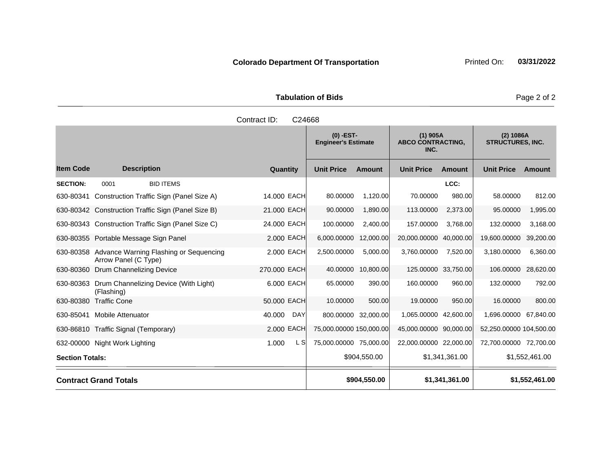**Tabulation of Bids** Page 2 of 2

|                        |                                                                          | Contract ID:<br>C24668 |                                           |               |                                                |                     |                                      |                |
|------------------------|--------------------------------------------------------------------------|------------------------|-------------------------------------------|---------------|------------------------------------------------|---------------------|--------------------------------------|----------------|
|                        |                                                                          |                        | $(0)$ -EST-<br><b>Engineer's Estimate</b> |               | $(1)$ 905A<br><b>ABCO CONTRACTING,</b><br>INC. |                     | (2) 1086A<br><b>STRUCTURES, INC.</b> |                |
| <b>Item Code</b>       | <b>Description</b>                                                       | Quantity               | <b>Unit Price</b>                         | <b>Amount</b> | <b>Unit Price</b>                              | <b>Amount</b>       | <b>Unit Price</b>                    | <b>Amount</b>  |
| <b>SECTION:</b>        | 0001<br><b>BID ITEMS</b>                                                 |                        |                                           |               |                                                | LCC:                |                                      |                |
| 630-80341              | Construction Traffic Sign (Panel Size A)                                 | 14.000 EACH            | 80.00000                                  | 1,120.00      | 70.00000                                       | 980.00              | 58.00000                             | 812.00         |
|                        | 630-80342 Construction Traffic Sign (Panel Size B)                       | 21.000 EACH            | 90.00000                                  | 1,890.00      | 113.00000                                      | 2,373.00            | 95.00000                             | 1,995.00       |
|                        | 630-80343 Construction Traffic Sign (Panel Size C)                       | 24.000 EACH            | 100.00000                                 | 2,400.00      | 157.00000                                      | 3,768.00            | 132.00000                            | 3,168.00       |
|                        | 630-80355 Portable Message Sign Panel                                    | 2.000 EACH             | 6,000.00000                               | 12,000.00     | 20,000.00000                                   | 40,000.00           | 19,600.00000                         | 39,200.00      |
|                        | 630-80358 Advance Warning Flashing or Sequencing<br>Arrow Panel (C Type) | 2,000 EACH             | 2,500.00000                               | 5,000.00      | 3,760.00000                                    | 7,520.00            | 3,180.00000                          | 6,360.00       |
| 630-80360              | Drum Channelizing Device                                                 | 270.000 EACH           | 40.00000                                  | 10,800.00     |                                                | 125.00000 33,750.00 | 106.00000                            | 28,620.00      |
| 630-80363              | Drum Channelizing Device (With Light)<br>(Flashing)                      | 6.000 EACH             | 65.00000                                  | 390.00        | 160.00000                                      | 960.00              | 132.00000                            | 792.00         |
| 630-80380              | <b>Traffic Cone</b>                                                      | 50.000 EACH            | 10.00000                                  | 500.00        | 19.00000                                       | 950.00              | 16.00000                             | 800.00         |
| 630-85041              | <b>Mobile Attenuator</b>                                                 | 40.000<br>DAY          | 800.00000 32,000.00                       |               | 1,065.00000 42,600.00                          |                     | 1,696.00000 67,840.00                |                |
|                        | 630-86810 Traffic Signal (Temporary)                                     | 2.000 EACH             | 75,000.00000 150,000.00                   |               | 45,000.00000 90,000.00                         |                     | 52,250.00000 104,500.00              |                |
|                        | 632-00000 Night Work Lighting                                            | 1.000<br>L SI          | 75,000.00000 75,000.00                    |               | 22,000.00000 22,000.00                         |                     | 72,700.00000 72,700.00               |                |
| <b>Section Totals:</b> |                                                                          |                        |                                           | \$904,550.00  |                                                | \$1,341,361.00      |                                      | \$1,552,461.00 |
|                        | <b>Contract Grand Totals</b>                                             |                        |                                           | \$904,550.00  |                                                | \$1,341,361.00      |                                      | \$1,552,461.00 |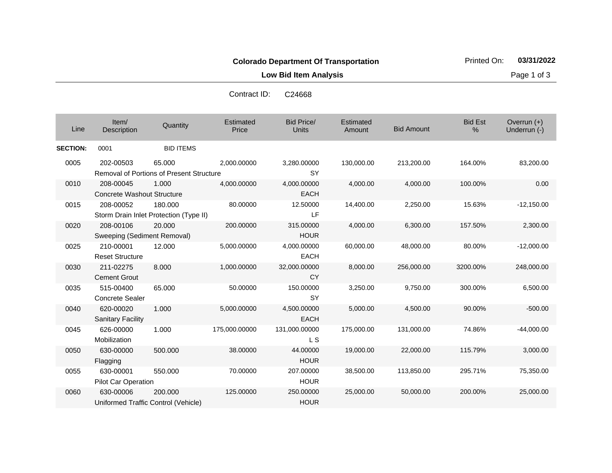**Low Bid Item Analysis Page 1 of 3** 

| Line            | Item/<br>Description                             | Quantity                                                  | Estimated<br>Price | <b>Bid Price/</b><br><b>Units</b> | Estimated<br>Amount | <b>Bid Amount</b> | <b>Bid Est</b><br>% | Overrun $(+)$<br>Underrun (-) |
|-----------------|--------------------------------------------------|-----------------------------------------------------------|--------------------|-----------------------------------|---------------------|-------------------|---------------------|-------------------------------|
| <b>SECTION:</b> | 0001                                             | <b>BID ITEMS</b>                                          |                    |                                   |                     |                   |                     |                               |
| 0005            | 202-00503                                        | 65.000<br><b>Removal of Portions of Present Structure</b> | 2,000.00000        | 3,280.00000<br><b>SY</b>          | 130,000.00          | 213,200.00        | 164.00%             | 83,200.00                     |
| 0010            | 208-00045<br>Concrete Washout Structure          | 1.000                                                     | 4,000.00000        | 4,000.00000<br><b>EACH</b>        | 4,000.00            | 4,000.00          | 100.00%             | 0.00                          |
| 0015            | 208-00052                                        | 180.000<br>Storm Drain Inlet Protection (Type II)         | 80.00000           | 12.50000<br>LF                    | 14,400.00           | 2,250.00          | 15.63%              | $-12,150.00$                  |
| 0020            | 208-00106<br>Sweeping (Sediment Removal)         | 20,000                                                    | 200,00000          | 315.00000<br><b>HOUR</b>          | 4,000.00            | 6,300.00          | 157.50%             | 2,300.00                      |
| 0025            | 210-00001<br><b>Reset Structure</b>              | 12.000                                                    | 5,000.00000        | 4,000.00000<br><b>EACH</b>        | 60,000.00           | 48,000.00         | 80.00%              | $-12,000.00$                  |
| 0030            | 211-02275<br><b>Cement Grout</b>                 | 8.000                                                     | 1,000.00000        | 32,000.00000<br><b>CY</b>         | 8,000.00            | 256,000.00        | 3200.00%            | 248,000.00                    |
| 0035            | 515-00400<br><b>Concrete Sealer</b>              | 65.000                                                    | 50.00000           | 150.00000<br><b>SY</b>            | 3,250.00            | 9,750.00          | 300.00%             | 6,500.00                      |
| 0040            | 620-00020<br><b>Sanitary Facility</b>            | 1.000                                                     | 5,000.00000        | 4,500.00000<br><b>EACH</b>        | 5,000.00            | 4,500.00          | 90.00%              | $-500.00$                     |
| 0045            | 626-00000<br>Mobilization                        | 1.000                                                     | 175,000.00000      | 131,000.00000<br>L S              | 175,000.00          | 131,000.00        | 74.86%              | $-44,000.00$                  |
| 0050            | 630-00000<br>Flagging                            | 500.000                                                   | 38.00000           | 44.00000<br><b>HOUR</b>           | 19,000.00           | 22,000.00         | 115.79%             | 3,000.00                      |
| 0055            | 630-00001<br>Pilot Car Operation                 | 550.000                                                   | 70.00000           | 207.00000<br><b>HOUR</b>          | 38,500.00           | 113,850.00        | 295.71%             | 75,350.00                     |
| 0060            | 630-00006<br>Uniformed Traffic Control (Vehicle) | 200,000                                                   | 125.00000          | 250,00000<br><b>HOUR</b>          | 25,000.00           | 50,000.00         | 200.00%             | 25,000.00                     |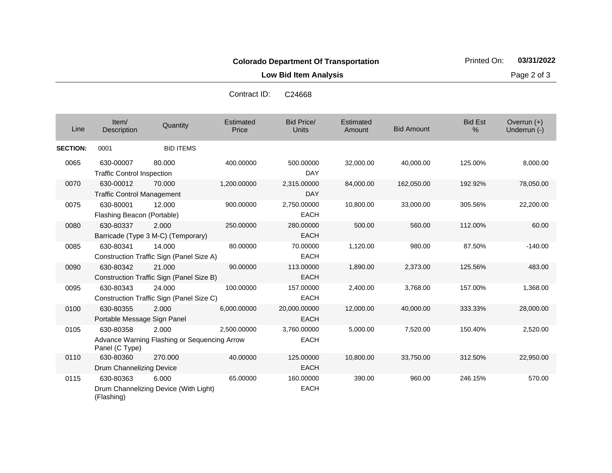**Low Bid Item Analysis Page 2 of 3** 

| Line            | Item/<br><b>Description</b>       | Quantity                                     | Estimated<br>Price | <b>Bid Price/</b><br>Units | Estimated<br>Amount | <b>Bid Amount</b> | <b>Bid Est</b><br>% | Overrun $(+)$<br>Underrun (-) |
|-----------------|-----------------------------------|----------------------------------------------|--------------------|----------------------------|---------------------|-------------------|---------------------|-------------------------------|
| <b>SECTION:</b> | 0001                              | <b>BID ITEMS</b>                             |                    |                            |                     |                   |                     |                               |
| 0065            | 630-00007                         | 80,000                                       | 400.00000          | 500.00000                  | 32,000.00           | 40,000.00         | 125.00%             | 8,000.00                      |
|                 | <b>Traffic Control Inspection</b> |                                              |                    | <b>DAY</b>                 |                     |                   |                     |                               |
| 0070            | 630-00012                         | 70.000                                       | 1,200.00000        | 2,315.00000                | 84,000.00           | 162,050.00        | 192.92%             | 78,050.00                     |
|                 | <b>Traffic Control Management</b> |                                              |                    | <b>DAY</b>                 |                     |                   |                     |                               |
| 0075            | 630-80001                         | 12.000                                       | 900.00000          | 2.750.00000                | 10,800.00           | 33,000.00         | 305.56%             | 22,200.00                     |
|                 | Flashing Beacon (Portable)        |                                              |                    | <b>EACH</b>                |                     |                   |                     |                               |
| 0080            | 630-80337                         | 2.000                                        | 250.00000          | 280.00000                  | 500.00              | 560.00            | 112.00%             | 60.00                         |
|                 |                                   | Barricade (Type 3 M-C) (Temporary)           |                    | <b>EACH</b>                |                     |                   |                     |                               |
| 0085            | 630-80341                         | 14.000                                       | 80.00000           | 70.00000                   | 1,120.00            | 980.00            | 87.50%              | $-140.00$                     |
|                 |                                   | Construction Traffic Sign (Panel Size A)     |                    | <b>EACH</b>                |                     |                   |                     |                               |
| 0090            | 630-80342                         | 21.000                                       | 90.00000           | 113.00000                  | 1,890.00            | 2,373.00          | 125.56%             | 483.00                        |
|                 |                                   | Construction Traffic Sign (Panel Size B)     |                    | <b>EACH</b>                |                     |                   |                     |                               |
| 0095            | 630-80343                         | 24.000                                       | 100.00000          | 157.00000                  | 2,400.00            | 3,768.00          | 157.00%             | 1,368.00                      |
|                 |                                   | Construction Traffic Sign (Panel Size C)     |                    | <b>EACH</b>                |                     |                   |                     |                               |
| 0100            | 630-80355                         | 2.000                                        | 6,000.00000        | 20,000.00000               | 12,000.00           | 40,000.00         | 333.33%             | 28,000.00                     |
|                 | Portable Message Sign Panel       |                                              |                    | <b>EACH</b>                |                     |                   |                     |                               |
| 0105            | 630-80358                         | 2.000                                        | 2,500.00000        | 3,760.00000                | 5,000.00            | 7,520.00          | 150.40%             | 2,520.00                      |
|                 | Panel (C Type)                    | Advance Warning Flashing or Sequencing Arrow |                    | <b>EACH</b>                |                     |                   |                     |                               |
| 0110            | 630-80360                         | 270,000                                      | 40.00000           | 125.00000                  | 10,800.00           | 33,750.00         | 312.50%             | 22,950.00                     |
|                 | Drum Channelizing Device          |                                              |                    | <b>EACH</b>                |                     |                   |                     |                               |
| 0115            | 630-80363                         | 6.000                                        | 65.00000           | 160.00000                  | 390.00              | 960.00            | 246.15%             | 570.00                        |
|                 | (Flashing)                        | Drum Channelizing Device (With Light)        |                    | <b>EACH</b>                |                     |                   |                     |                               |

Contract ID: C24668